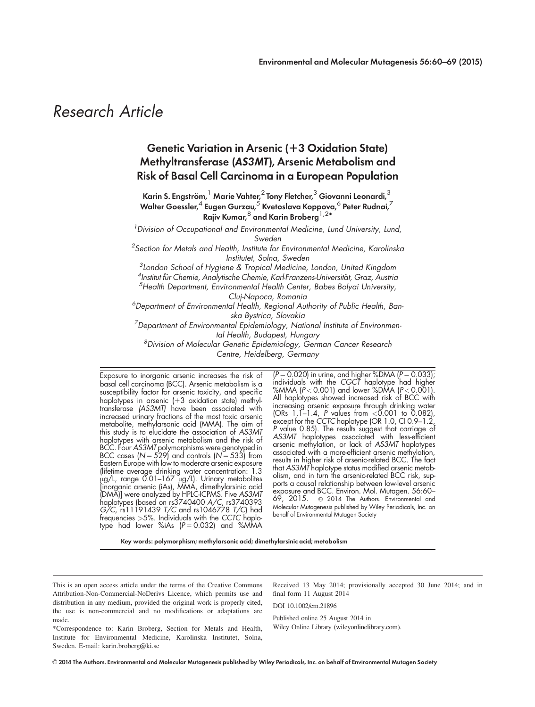# Research Article

# Genetic Variation in Arsenic (+3 Oxidation State) Methyltransferase (AS3MT), Arsenic Metabolism and Risk of Basal Cell Carcinoma in a European Population

Karin S. Engström,  $^1$  Marie Vahter, $^2$  Tony Fletcher, $^3$  Giovanni Leonardi, $^3$ Walter Goessler, $^4$  Eugen Gurzau, $^5$  Kvetoslava Koppova, $^6$  Peter Rudnai, $^7$ Rajiv Kumar,  $8$  and Karin Broberg<sup>1,2\*</sup>

<sup>1</sup> Division of Occupational and Environmental Medicine, Lund University, Lund, Sweden

 ${}^{2}$ Section for Metals and Health, Institute for Environmental Medicine, Karolinska Institutet, Solna, Sweden

 $^3$ London School of Hygiene & Tropical Medicine, London, United Kingdom

4 Institut für Chemie, Analytische Chemie, Karl-Franzens-Universität, Graz, Äustria<br>§Hoalth Department, Environmental Hoalth Center, Babos, Bolvai University

 $5$ Health Department, Environmental Health Center, Babes Bolyai University, Cluj-Napoca, Romania

<sup>6</sup>Department of Environmental Health, Regional Authority of Public Health, Banska Bystrica, Slovakia

 $^7$ Department of Environmental Epidemiology, National Institute of Environmental Health, Budapest, Hungary

8 Division of Molecular Genetic Epidemiology, German Cancer Research Centre, Heidelberg, Germany

Exposure to inorganic arsenic increases the risk of basal cell carcinoma (BCC). Arsenic metabolism is a susceptibility factor for arsenic toxicity, and specific haplotypes in arsenic (+3 oxidation state) methyltransferase (AS3MT) have been associated with increased urinary fractions of the most toxic arsenic metabolite, methylarsonic acid (MMA). The aim of this study is to elucidate the association of AS3MT haplotypes with arsenic metabolism and the risk of BCC. Four AS3MT polymorphisms were genotyped in BCC cases (N  $= 529$ ) and controls (N  $= 533$ ) from Eastern Europe with low to moderate arsenic exposure (lifetime average drinking water concentration: 1.3 μg/L, range 0.01–167 μg/L). Urinary metabolites [inorganic arsenic (iAs), MMA, dimethylarsinic acid (DMA)] were analyzed by HPLC-ICPMS. Five AS3MT haplotypes (based on rs3740400 A/C, rs3740393 G/C, rs11191439 T/C and rs1046778 T/C) had frequencies >5%. Individuals with the CCTC haplotype had lower %iAs  $(P = 0.032)$  and %MMA

 $(P = 0.020)$  in urine, and higher %DMA ( $P = 0.033$ ); individuals with the CGCT haplotype had higher %MMA (P< 0.001) and lower %DMA (P< 0.001). All haplotypes showed increased risk of BCC with increasing arsenic exposure through drinking water (ORs 1.1–1.4, P values from <0.001 to 0.082), except for the CCTC haplotype (OR 1.0, CI 0.9–1.2, P value 0.85). The results suggest that carriage of AS3MT haplotypes associated with less-efficient arsenic methylation, or lack of AS3MT haplotypes associated with a more-efficient arsenic methylation, results in higher risk of arsenic-related BCC. The fact that AS3MT haplotype status modified arsenic metabolism, and in turn the arsenic-related BCC risk, supports a causal relationship between low-level arsenic exposure and BCC. Environ. Mol. Mutagen. 56:60–  $69, 2015.$   $\circ$  2014 The Authors. Environmental and Molecular Mutagenesis published by Wiley Periodicals, Inc. on behalf of Environmental Mutagen Society

Key words: polymorphism; methylarsonic acid; dimethylarsinic acid; metabolism

This is an open access article under the terms of the Creative Commons Attribution-Non-Commercial-NoDerivs Licence, which permits use and distribution in any medium, provided the original work is properly cited, the use is non-commercial and no modifications or adaptations are made.

Received 13 May 2014; provisionally accepted 30 June 2014; and in final form 11 August 2014

DOI 10.1002/em.21896

Published online 25 August 2014 in Wiley Online Library (wileyonlinelibrary.com).

\*Correspondence to: Karin Broberg, Section for Metals and Health, Institute for Environmental Medicine, Karolinska Institutet, Solna, Sweden. E-mail: karin.broberg@ki.se

 $\odot$  2014 The Authors. Environmental and Molecular Mutagenesis published by Wiley Periodicals, Inc. on behalf of Environmental Mutagen Society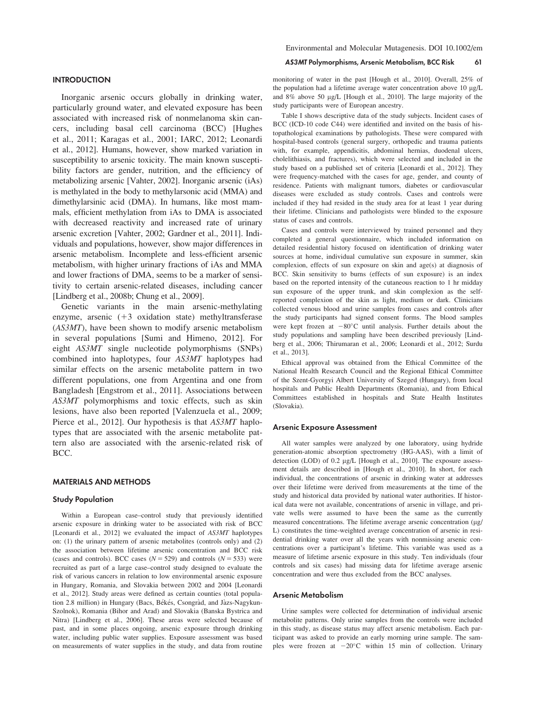#### **INTRODUCTION**

Inorganic arsenic occurs globally in drinking water, particularly ground water, and elevated exposure has been associated with increased risk of nonmelanoma skin cancers, including basal cell carcinoma (BCC) [Hughes et al., 2011; Karagas et al., 2001; IARC, 2012; Leonardi et al., 2012]. Humans, however, show marked variation in susceptibility to arsenic toxicity. The main known susceptibility factors are gender, nutrition, and the efficiency of metabolizing arsenic [Vahter, 2002]. Inorganic arsenic (iAs) is methylated in the body to methylarsonic acid (MMA) and dimethylarsinic acid (DMA). In humans, like most mammals, efficient methylation from iAs to DMA is associated with decreased reactivity and increased rate of urinary arsenic excretion [Vahter, 2002; Gardner et al., 2011]. Individuals and populations, however, show major differences in arsenic metabolism. Incomplete and less-efficient arsenic metabolism, with higher urinary fractions of iAs and MMA and lower fractions of DMA, seems to be a marker of sensitivity to certain arsenic-related diseases, including cancer [Lindberg et al., 2008b; Chung et al., 2009].

Genetic variants in the main arsenic-methylating enzyme, arsenic  $(+3 \text{ oxidation state})$  methyltransferase (AS3MT), have been shown to modify arsenic metabolism in several populations [Sumi and Himeno, 2012]. For eight AS3MT single nucleotide polymorphisms (SNPs) combined into haplotypes, four AS3MT haplotypes had similar effects on the arsenic metabolite pattern in two different populations, one from Argentina and one from Bangladesh [Engstrom et al., 2011]. Associations between AS3MT polymorphisms and toxic effects, such as skin lesions, have also been reported [Valenzuela et al., 2009; Pierce et al., 2012]. Our hypothesis is that AS3MT haplotypes that are associated with the arsenic metabolite pattern also are associated with the arsenic-related risk of BCC.

# MATERIALS AND METHODS

# Study Population

Within a European case–control study that previously identified arsenic exposure in drinking water to be associated with risk of BCC [Leonardi et al., 2012] we evaluated the impact of AS3MT haplotypes on: (1) the urinary pattern of arsenic metabolites (controls only) and (2) the association between lifetime arsenic concentration and BCC risk (cases and controls). BCC cases ( $N = 529$ ) and controls ( $N = 533$ ) were recruited as part of a large case–control study designed to evaluate the risk of various cancers in relation to low environmental arsenic exposure in Hungary, Romania, and Slovakia between 2002 and 2004 [Leonardi et al., 2012]. Study areas were defined as certain counties (total population 2.8 million) in Hungary (Bacs, Békés, Csongràd, and Jàzs-Nagykun-Szolnok), Romania (Bihor and Arad) and Slovakia (Banska Bystrica and Nitra) [Lindberg et al., 2006]. These areas were selected because of past, and in some places ongoing, arsenic exposure through drinking water, including public water supplies. Exposure assessment was based on measurements of water supplies in the study, and data from routine

#### AS3MT Polymorphisms, Arsenic Metabolism, BCC Risk 61

monitoring of water in the past [Hough et al., 2010]. Overall, 25% of the population had a lifetime average water concentration above  $10 \mu g/L$ and 8% above 50 mg/L [Hough et al., 2010]. The large majority of the study participants were of European ancestry.

Table I shows descriptive data of the study subjects. Incident cases of BCC (ICD-10 code C44) were identified and invited on the basis of histopathological examinations by pathologists. These were compared with hospital-based controls (general surgery, orthopedic and trauma patients with, for example, appendicitis, abdominal hernias, duodenal ulcers, cholelithiasis, and fractures), which were selected and included in the study based on a published set of criteria [Leonardi et al., 2012]. They were frequency-matched with the cases for age, gender, and county of residence. Patients with malignant tumors, diabetes or cardiovascular diseases were excluded as study controls. Cases and controls were included if they had resided in the study area for at least 1 year during their lifetime. Clinicians and pathologists were blinded to the exposure status of cases and controls.

Cases and controls were interviewed by trained personnel and they completed a general questionnaire, which included information on detailed residential history focused on identification of drinking water sources at home, individual cumulative sun exposure in summer, skin complexion, effects of sun exposure on skin and age(s) at diagnosis of BCC. Skin sensitivity to burns (effects of sun exposure) is an index based on the reported intensity of the cutaneous reaction to 1 hr midday sun exposure of the upper trunk, and skin complexion as the selfreported complexion of the skin as light, medium or dark. Clinicians collected venous blood and urine samples from cases and controls after the study participants had signed consent forms. The blood samples were kept frozen at  $-80^{\circ}$ C until analysis. Further details about the study populations and sampling have been described previously [Lindberg et al., 2006; Thirumaran et al., 2006; Leonardi et al., 2012; Surdu et al., 2013].

Ethical approval was obtained from the Ethical Committee of the National Health Research Council and the Regional Ethical Committee of the Szent-Gyorgyi Albert University of Szeged (Hungary), from local hospitals and Public Health Departments (Romania), and from Ethical Committees established in hospitals and State Health Institutes (Slovakia).

#### Arsenic Exposure Assessment

All water samples were analyzed by one laboratory, using hydride generation-atomic absorption spectrometry (HG-AAS), with a limit of detection (LOD) of 0.2 µg/L [Hough et al., 2010]. The exposure assessment details are described in [Hough et al., 2010]. In short, for each individual, the concentrations of arsenic in drinking water at addresses over their lifetime were derived from measurements at the time of the study and historical data provided by national water authorities. If historical data were not available, concentrations of arsenic in village, and private wells were assumed to have been the same as the currently measured concentrations. The lifetime average arsenic concentration (µg/ L) constitutes the time-weighted average concentration of arsenic in residential drinking water over all the years with nonmissing arsenic concentrations over a participant's lifetime. This variable was used as a measure of lifetime arsenic exposure in this study. Ten individuals (four controls and six cases) had missing data for lifetime average arsenic concentration and were thus excluded from the BCC analyses.

#### Arsenic Metabolism

Urine samples were collected for determination of individual arsenic metabolite patterns. Only urine samples from the controls were included in this study, as disease status may affect arsenic metabolism. Each participant was asked to provide an early morning urine sample. The samples were frozen at  $-20^{\circ}$ C within 15 min of collection. Urinary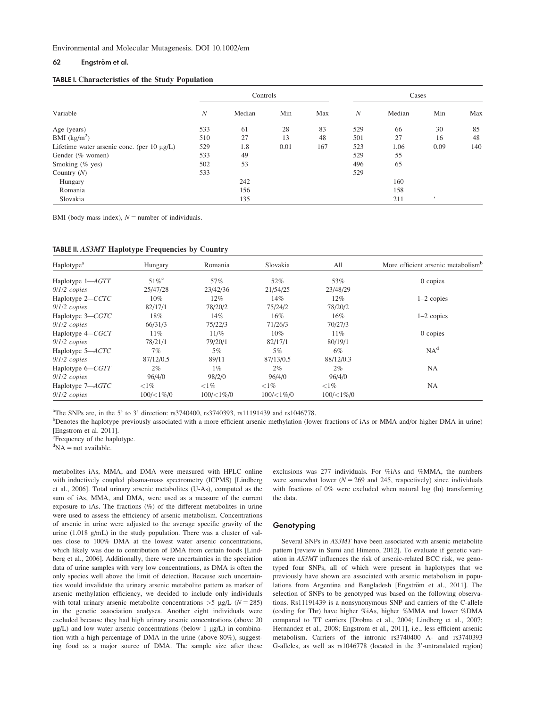## 62 Engström et al.

#### TABLE I. Characteristics of the Study Population

|                                                  | Controls |        |      | Cases |     |        |            |     |
|--------------------------------------------------|----------|--------|------|-------|-----|--------|------------|-----|
| Variable                                         | N        | Median | Min  | Max   | N   | Median | Min        | Max |
| Age (years)                                      | 533      | 61     | 28   | 83    | 529 | 66     | 30         | 85  |
| BMI $(kg/m2)$                                    | 510      | 27     | 13   | 48    | 501 | 27     | 16         | 48  |
| Lifetime water arsenic conc. (per $10 \mu g/L$ ) | 529      | 1.8    | 0.01 | 167   | 523 | 1.06   | 0.09       | 140 |
| Gender (% women)                                 | 533      | 49     |      |       | 529 | 55     |            |     |
| Smoking (% yes)                                  | 502      | 53     |      |       | 496 | 65     |            |     |
| Country $(N)$                                    | 533      |        |      |       | 529 |        |            |     |
| Hungary                                          |          | 242    |      |       |     | 160    |            |     |
| Romania                                          |          | 156    |      |       |     | 158    |            |     |
| Slovakia                                         |          | 135    |      |       |     | 211    | $\epsilon$ |     |

BMI (body mass index),  $N =$  number of individuals.

| <b>TABLE II. AS3MT Haplotype Frequencies by Country</b> |  |  |  |  |
|---------------------------------------------------------|--|--|--|--|
|---------------------------------------------------------|--|--|--|--|

| Haplotype <sup>a</sup> | Hungary            | Romania            | Slovakia            | All                | More efficient arsenic metabolism <sup>b</sup> |
|------------------------|--------------------|--------------------|---------------------|--------------------|------------------------------------------------|
| Haplotype 1-AGTT       | $51\%^{\circ}$     | 57%                | 52%                 | 53%                | 0 copies                                       |
| $0/1/2$ copies         | 25/47/28           | 23/42/36           | 21/54/25            | 23/48/29           |                                                |
| Haplotype 2-CCTC       | $10\%$             | $12\%$             | 14%                 | 12%                | $1-2$ copies                                   |
| $0/1/2$ copies         | 82/17/1            | 78/20/2            | 75/24/2             | 78/20/2            |                                                |
| Haplotype 3-CGTC       | 18%                | 14%                | 16%                 | 16%                | $1-2$ copies                                   |
| $0/1/2$ copies         | 66/31/3            | 75/22/3            | 71/26/3             | 70/27/3            |                                                |
| Haplotype $4 - CGCT$   | $11\%$             | 11/%               | $10\%$              | 11%                | 0 copies                                       |
| $0/1/2$ copies         | 78/21/1            | 79/20/1            | 82/17/1             | 80/19/1            |                                                |
| Haplotype 5-ACTC       | 7%                 | 5%                 | $5\%$               | 6%                 | NA <sup>d</sup>                                |
| $0/1/2$ copies         | 87/12/0.5          | 89/11              | 87/13/0.5           | 88/12/0.3          |                                                |
| Haplotype 6–CGTT       | $2\%$              | $1\%$              | $2\%$               | $2\%$              | <b>NA</b>                                      |
| $0/1/2$ copies         | 96/4/0             | 98/2/0             | 96/4/0              | 96/4/0             |                                                |
| Haplotype 7-AGTC       | ${<}1\%$           | ${<}1\%$           | ${<}1\%$            | ${<}1\%$           | NA                                             |
| $0/1/2$ copies         | $100 \times 1\% 0$ | $100 \times 1\% 0$ | $100 \times 1\%$ /0 | $100 \times 1\% 0$ |                                                |

<sup>a</sup>The SNPs are, in the 5' to 3' direction: rs3740400, rs3740393, rs11191439 and rs1046778.

<sup>b</sup>Denotes the haplotype previously associated with a more efficient arsenic methylation (lower fractions of iAs or MMA and/or higher DMA in urine) [Engstrom et al. 2011].

 ${}^{d}NA$  = not available.

metabolites iAs, MMA, and DMA were measured with HPLC online with inductively coupled plasma-mass spectrometry (ICPMS) [Lindberg et al., 2006]. Total urinary arsenic metabolites (U-As), computed as the sum of iAs, MMA, and DMA, were used as a measure of the current exposure to iAs. The fractions (%) of the different metabolites in urine were used to assess the efficiency of arsenic metabolism. Concentrations of arsenic in urine were adjusted to the average specific gravity of the urine (1.018 g/mL) in the study population. There was a cluster of values close to 100% DMA at the lowest water arsenic concentrations, which likely was due to contribution of DMA from certain foods [Lindberg et al., 2006]. Additionally, there were uncertainties in the speciation data of urine samples with very low concentrations, as DMA is often the only species well above the limit of detection. Because such uncertainties would invalidate the urinary arsenic metabolite pattern as marker of arsenic methylation efficiency, we decided to include only individuals with total urinary arsenic metabolite concentrations  $>$ 5 µg/L (N = 285) in the genetic association analyses. Another eight individuals were excluded because they had high urinary arsenic concentrations (above 20  $\mu$ g/L) and low water arsenic concentrations (below 1  $\mu$ g/L) in combination with a high percentage of DMA in the urine (above 80%), suggesting food as a major source of DMA. The sample size after these

exclusions was 277 individuals. For %iAs and %MMA, the numbers were somewhat lower ( $N = 269$  and 245, respectively) since individuals with fractions of 0% were excluded when natural log (ln) transforming the data.

#### **Genotyping**

Several SNPs in AS3MT have been associated with arsenic metabolite pattern [review in Sumi and Himeno, 2012]. To evaluate if genetic variation in AS3MT influences the risk of arsenic-related BCC risk, we genotyped four SNPs, all of which were present in haplotypes that we previously have shown are associated with arsenic metabolism in populations from Argentina and Bangladesh [Engström et al., 2011]. The selection of SNPs to be genotyped was based on the following observations. Rs11191439 is a nonsynonymous SNP and carriers of the C-allele (coding for Thr) have higher %iAs, higher %MMA and lower %DMA compared to TT carriers [Drobna et al., 2004; Lindberg et al., 2007; Hernandez et al., 2008; Engstrom et al., 2011], i.e., less efficient arsenic metabolism. Carriers of the intronic rs3740400 A- and rs3740393 G-alleles, as well as rs1046778 (located in the 3'-untranslated region)

<sup>&</sup>lt;sup>c</sup>Frequency of the haplotype.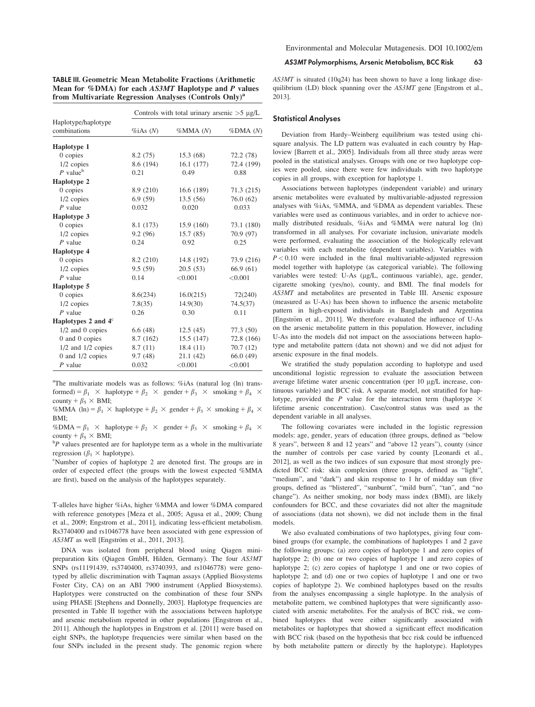| <b>TABLE III. Geometric Mean Metabolite Fractions (Arithmetic)</b> |  |
|--------------------------------------------------------------------|--|
| Mean for %DMA) for each AS3MT Haplotype and P values               |  |
| from Multivariate Regression Analyses (Controls Only) <sup>a</sup> |  |

|                                     | Controls with total urinary arsenic $>5 \mu g/L$ |                      |            |  |  |  |
|-------------------------------------|--------------------------------------------------|----------------------|------------|--|--|--|
| Haplotype/haplotype<br>combinations | $\%iAs(N)$                                       | % <sub>MMA</sub> (N) | %DMA (N)   |  |  |  |
| Haplotype 1                         |                                                  |                      |            |  |  |  |
| 0 copies                            | 8.2(75)                                          | 15.3(68)             | 72.2 (78)  |  |  |  |
| 1/2 copies                          | 8.6 (194)                                        | 16.1(177)            | 72.4 (199) |  |  |  |
| $P$ value <sup>b</sup>              | 0.21                                             | 0.49                 | 0.88       |  |  |  |
| Haplotype 2                         |                                                  |                      |            |  |  |  |
| $0$ copies                          | 8.9 (210)                                        | 16.6(189)            | 71.3 (215) |  |  |  |
| $1/2$ copies                        | 6.9(59)                                          | 13.5(56)             | 76.0(62)   |  |  |  |
| $P$ value                           | 0.032                                            | 0.020                | 0.033      |  |  |  |
| Haplotype 3                         |                                                  |                      |            |  |  |  |
| $0$ copies                          | 8.1 (173)                                        | 15.9(160)            | 73.1 (180) |  |  |  |
| $1/2$ copies                        | 9.2(96)                                          | 15.7(85)             | 70.9 (97)  |  |  |  |
| $P$ value                           | 0.24                                             | 0.92                 | 0.25       |  |  |  |
| <b>Haplotype 4</b>                  |                                                  |                      |            |  |  |  |
| $0$ copies                          | 8.2 (210)                                        | 14.8 (192)           | 73.9 (216) |  |  |  |
| $1/2$ copies                        | 9.5(59)                                          | 20.5(53)             | 66.9(61)   |  |  |  |
| $P$ value                           | 0.14                                             | < 0.001              | < 0.001    |  |  |  |
| Haplotype 5                         |                                                  |                      |            |  |  |  |
| 0 copies                            | 8.6(234)                                         | 16.0(215)            | 72(240)    |  |  |  |
| $1/2$ copies                        | 7.8(35)                                          | 14.9(30)             | 74.5(37)   |  |  |  |
| $P$ value                           | 0.26                                             | 0.30                 | 0.11       |  |  |  |
| Haplotypes 2 and $4^\circ$          |                                                  |                      |            |  |  |  |
| 1/2 and 0 copies                    | 6.6(48)                                          | 12.5(45)             | 77.3 (50)  |  |  |  |
| 0 and 0 copies                      | 8.7 (162)                                        | 15.5(147)            | 72.8 (166) |  |  |  |
| $1/2$ and $1/2$ copies              | 8.7(11)                                          | 18.4(11)             | 70.7(12)   |  |  |  |
| 0 and $1/2$ copies                  | 9.7(48)                                          | 21.1(42)             | 66.0(49)   |  |  |  |
| $P$ value                           | 0.032                                            | < 0.001              | < 0.001    |  |  |  |

<sup>a</sup>The multivariate models was as follows: %iAs (natural log (ln) transformed) =  $\beta_1$   $\times$  haplotype +  $\beta_2$   $\times$  gender +  $\beta_3$   $\times$  smoking +  $\beta_4$   $\times$ county +  $\beta_5 \times$  BMI;

%MMA (ln) =  $\beta_1$  × haplotype +  $\beta_2$  × gender +  $\beta_3$  × smoking +  $\beta_4$  × BMI;

%DMA =  $\beta_1$   $\times$  haplotype +  $\beta_2$   $\times$  gender +  $\beta_3$   $\times$  smoking +  $\beta_4$   $\times$ county +  $\beta_5 \times$  BMI;

 $P<sup>b</sup>P$  values presented are for haplotype term as a whole in the multivariate regression ( $\beta_1 \times$  haplotype).

Number of copies of haplotype 2 are denoted first. The groups are in order of expected effect (the groups with the lowest expected %MMA are first), based on the analysis of the haplotypes separately.

T-alleles have higher %iAs, higher %MMA and lower %DMA compared with reference genotypes [Meza et al., 2005; Agusa et al., 2009; Chung et al., 2009; Engstrom et al., 2011], indicating less-efficient metabolism. Rs3740400 and rs1046778 have been associated with gene expression of AS3MT as well [Engström et al., 2011, 2013].

DNA was isolated from peripheral blood using Qiagen minipreparation kits (Qiagen GmbH, Hilden, Germany). The four AS3MT SNPs (rs11191439, rs3740400, rs3740393, and rs1046778) were genotyped by allelic discrimination with Taqman assays (Applied Biosystems Foster City, CA) on an ABI 7900 instrument (Applied Biosystems). Haplotypes were constructed on the combination of these four SNPs using PHASE [Stephens and Donnelly, 2003]. Haplotype frequencies are presented in Table II together with the associations between haplotype and arsenic metabolism reported in other populations [Engstrom et al., 2011]. Although the haplotypes in Engstrom et al. [2011] were based on eight SNPs, the haplotype frequencies were similar when based on the four SNPs included in the present study. The genomic region where AS3MT Polymorphisms, Arsenic Metabolism, BCC Risk 63

AS3MT is situated (10q24) has been shown to have a long linkage disequilibrium (LD) block spanning over the AS3MT gene [Engstrom et al., 2013].

#### Statistical Analyses

Deviation from Hardy–Weinberg equilibrium was tested using chisquare analysis. The LD pattern was evaluated in each country by Haploview [Barrett et al., 2005]. Individuals from all three study areas were pooled in the statistical analyses. Groups with one or two haplotype copies were pooled, since there were few individuals with two haplotype copies in all groups, with exception for haplotype 1.

Associations between haplotypes (independent variable) and urinary arsenic metabolites were evaluated by multivariable-adjusted regression analyses with %iAs, %MMA, and %DMA as dependent variables. These variables were used as continuous variables, and in order to achieve normally distributed residuals, %iAs and %MMA were natural log (ln) transformed in all analyses. For covariate inclusion, univariate models were performed, evaluating the association of the biologically relevant variables with each metabolite (dependent variables). Variables with  $P < 0.10$  were included in the final multivariable-adjusted regression model together with haplotype (as categorical variable). The following variables were tested: U-As (µg/L, continuous variable), age, gender, cigarette smoking (yes/no), county, and BMI. The final models for AS3MT and metabolites are presented in Table III. Arsenic exposure (measured as U-As) has been shown to influence the arsenic metabolite pattern in high-exposed individuals in Bangladesh and Argentina [Engström et al., 2011]. We therefore evaluated the influence of U-As on the arsenic metabolite pattern in this population. However, including U-As into the models did not impact on the associations between haplotype and metabolite pattern (data not shown) and we did not adjust for arsenic exposure in the final models.

We stratified the study population according to haplotype and used unconditional logistic regression to evaluate the association between average lifetime water arsenic concentration (per  $10 \mu g/L$  increase, continuous variable) and BCC risk. A separate model, not stratified for haplotype, provided the P value for the interaction term (haplotype  $\times$ lifetime arsenic concentration). Case/control status was used as the dependent variable in all analyses.

The following covariates were included in the logistic regression models: age, gender, years of education (three groups, defined as "below 8 years", between 8 and 12 years" and "above 12 years"), county (since the number of controls per case varied by county [Leonardi et al., 2012], as well as the two indices of sun exposure that most strongly predicted BCC risk: skin complexion (three groups, defined as "light", "medium", and "dark") and skin response to 1 hr of midday sun (five groups, defined as "blistered", "sunburnt", "mild burn", "tan", and "no change"). As neither smoking, nor body mass index (BMI), are likely confounders for BCC, and these covariates did not alter the magnitude of associations (data not shown), we did not include them in the final models.

We also evaluated combinations of two haplotypes, giving four combined groups (for example, the combinations of haplotypes 1 and 2 gave the following groups: (a) zero copies of haplotype 1 and zero copies of haplotype 2; (b) one or two copies of haplotype 1 and zero copies of haplotype 2; (c) zero copies of haplotype 1 and one or two copies of haplotype 2; and (d) one or two copies of haplotype 1 and one or two copies of haplotype 2). We combined haplotypes based on the results from the analyses encompassing a single haplotype. In the analysis of metabolite pattern, we combined haplotypes that were significantly associated with arsenic metabolites. For the analysis of BCC risk, we combined haplotypes that were either significantly associated with metabolites or haplotypes that showed a significant effect modification with BCC risk (based on the hypothesis that bcc risk could be influenced by both metabolite pattern or directly by the haplotype). Haplotypes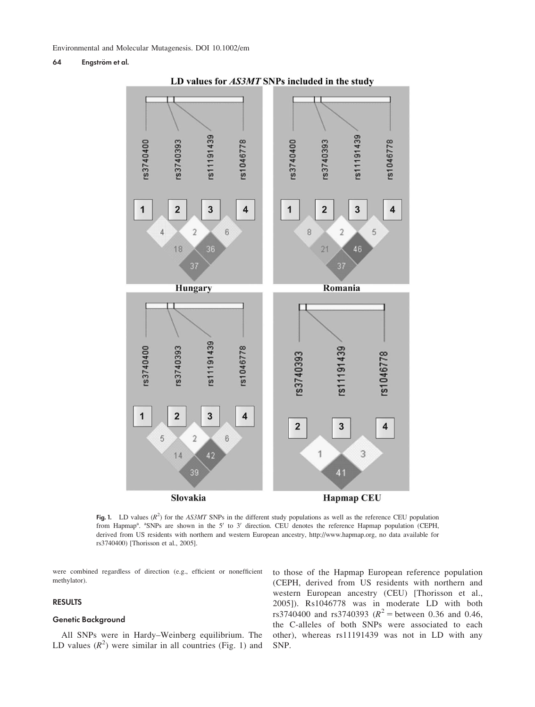# 64 Engström et al.



LD values for AS3MT SNPs included in the study

Fig. 1. LD values  $(R^2)$  for the AS3MT SNPs in the different study populations as well as the reference CEU population from Hapmap<sup>a</sup>. <sup>a</sup>SNPs are shown in the 5' to 3' direction. CEU denotes the reference Hapmap population (CEPH, derived from US residents with northern and western European ancestry,<http://www.hapmap.org>, no data available for rs3740400) [Thorisson et al., 2005].

were combined regardless of direction (e.g., efficient or nonefficient methylator).

# RESULTS

# Genetic Background

All SNPs were in Hardy–Weinberg equilibrium. The LD values  $(R^2)$  were similar in all countries (Fig. 1) and

to those of the Hapmap European reference population (CEPH, derived from US residents with northern and western European ancestry (CEU) [Thorisson et al., 2005]). Rs1046778 was in moderate LD with both rs3740400 and rs3740393 ( $R^2$  = between 0.36 and 0.46, the C-alleles of both SNPs were associated to each other), whereas rs11191439 was not in LD with any SNP.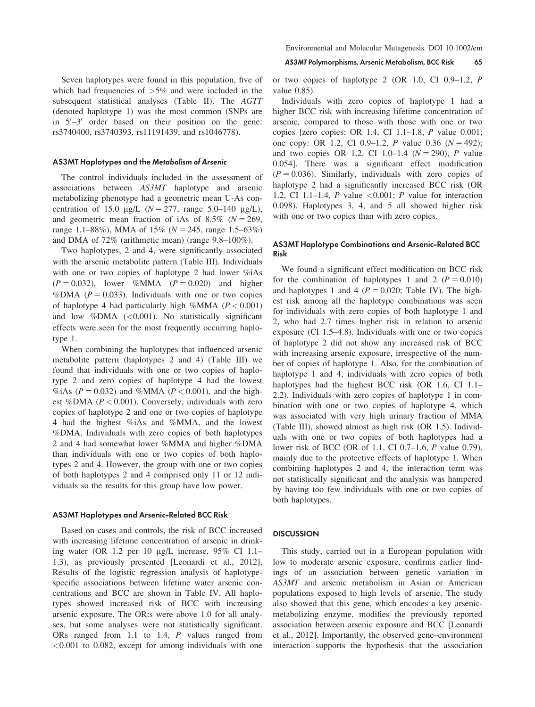Seven haplotypes were found in this population, five of which had frequencies of  $>5\%$  and were included in the subsequent statistical analyses (Table II). The AGTT (denoted haplotype 1) was the most common (SNPs are in  $5'-3'$  order based on their position on the gene: rs3740400, rs3740393, rs11191439, and rs1046778).

# AS3MT Haplotypes and the Metabolism of Arsenic

The control individuals included in the assessment of associations between AS3MT haplotype and arsenic metabolizing phenotype had a geometric mean U-As concentration of 15.0  $\mu$ g/L (N = 277, range 5.0–140  $\mu$ g/L), and geometric mean fraction of iAs of 8.5% ( $N = 269$ , range 1.1–88%), MMA of 15% ( $N = 245$ , range 1.5–63%) and DMA of 72% (arithmetic mean) (range 9.8–100%).

Two haplotypes, 2 and 4, were significantly associated with the arsenic metabolite pattern (Table III). Individuals with one or two copies of haplotype 2 had lower %iAs  $(P = 0.032)$ , lower %MMA  $(P = 0.020)$  and higher %DMA ( $P = 0.033$ ). Individuals with one or two copies of haplotype 4 had particularly high %MMA ( $P < 0.001$ ) and low %DMA  $(<0.001$ ). No statistically significanteffects were seen for the most frequently occurring haplotype 1.

When combining the haplotypes that influenced arsenic metabolite pattern (haplotypes 2 and 4) (Table III) we found that individuals with one or two copies of haplotype 2 and zero copies of haplotype 4 had the lowest %iAs ( $P = 0.032$ ) and %MMA ( $P < 0.001$ ), and the highest %DMA ( $P < 0.001$ ). Conversely, individuals with zero copies of haplotype 2 and one or two copies of haplotype 4 had the highest %iAs and %MMA, and the lowest %DMA. Individuals with zero copies of both haplotypes 2 and 4 had somewhat lower %MMA and higher %DMA than individuals with one or two copies of both haplotypes 2 and 4. However, the group with one or two copies of both haplotypes 2 and 4 comprised only 11 or 12 individuals so the results for this group have low power.

#### AS3MT Haplotypes and Arsenic-Related BCC Risk

Based on cases and controls, the risk of BCC increased with increasing lifetime concentration of arsenic in drinking water (OR 1.2 per 10 mg/L increase, 95% CI 1.1– 1.3), as previously presented [Leonardi et al., 2012]. Results of the logistic regression analysis of haplotypespecific associations between lifetime water arsenic concentrations and BCC are shown in Table IV. All haplotypes showed increased risk of BCC with increasing arsenic exposure. The OR:s were above 1.0 for all analyses, but some analyses were not statistically significant. ORs ranged from 1.1 to 1.4, P values ranged from <0.001 to 0.082, except for among individuals with one

#### AS3MT Polymorphisms, Arsenic Metabolism, BCC Risk 65

or two copies of haplotype 2 (OR 1.0, CI 0.9–1.2, P value 0.85).

Individuals with zero copies of haplotype 1 had a higher BCC risk with increasing lifetime concentration of arsenic, compared to those with those with one or two copies [zero copies: OR 1.4, CI 1.1–1.8, P value 0.001; one copy: OR 1.2, CI 0.9–1.2, P value 0.36 ( $N = 492$ ); and two copies OR 1.2, CI 1.0–1.4 ( $N = 290$ ), P value 0.054]. There was a significant effect modification  $(P = 0.036)$ . Similarly, individuals with zero copies of haplotype 2 had a significantly increased BCC risk (OR 1.2, CI 1.1–1.4, P value  $\leq 0.001$ ; P value for interaction 0.098). Haplotypes 3, 4, and 5 all showed higher risk with one or two copies than with zero copies.

# AS3MT Haplotype Combinations and Arsenic-Related BCC Risk

We found a significant effect modification on BCC risk for the combination of haplotypes 1 and 2 ( $P = 0.010$ ) and haplotypes 1 and 4 ( $P = 0.020$ ; Table IV). The highest risk among all the haplotype combinations was seen for individuals with zero copies of both haplotype 1 and 2, who had 2.7 times higher risk in relation to arsenic exposure (CI 1.5–4.8). Individuals with one or two copies of haplotype 2 did not show any increased risk of BCC with increasing arsenic exposure, irrespective of the number of copies of haplotype 1. Also, for the combination of haplotype 1 and 4, individuals with zero copies of both haplotypes had the highest BCC risk (OR 1.6, CI 1.1– 2.2). Individuals with zero copies of haplotype 1 in combination with one or two copies of haplotype 4, which was associated with very high urinary fraction of MMA (Table III), showed almost as high risk (OR 1.5). Individuals with one or two copies of both haplotypes had a lower risk of BCC (OR of 1.1, CI 0.7–1.6, P value 0.79), mainly due to the protective effects of haplotype 1. When combining haplotypes 2 and 4, the interaction term was not statistically significant and the analysis was hampered by having too few individuals with one or two copies of both haplotypes.

#### **DISCUSSION**

This study, carried out in a European population with low to moderate arsenic exposure, confirms earlier findings of an association between genetic variation in AS3MT and arsenic metabolism in Asian or American populations exposed to high levels of arsenic. The study also showed that this gene, which encodes a key arsenicmetabolizing enzyme, modifies the previously reported association between arsenic exposure and BCC [Leonardi et al., 2012]. Importantly, the observed gene–environment interaction supports the hypothesis that the association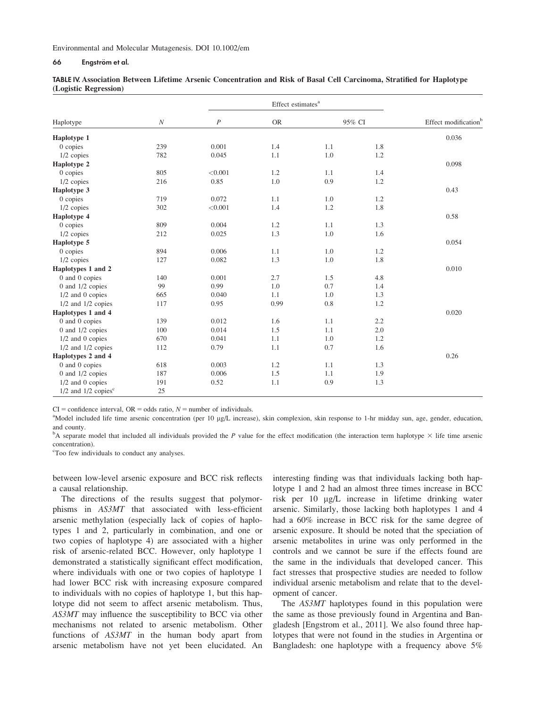# 66 Engström et al.

| Haplotype                           |          |                  | Effect estimates <sup>a</sup> |        |     |                                  |
|-------------------------------------|----------|------------------|-------------------------------|--------|-----|----------------------------------|
|                                     | $\cal N$ | $\boldsymbol{P}$ | <b>OR</b>                     | 95% CI |     | Effect modification <sup>b</sup> |
| Haplotype 1                         |          |                  |                               |        |     | 0.036                            |
| 0 copies                            | 239      | 0.001            | 1.4                           | 1.1    | 1.8 |                                  |
| $1/2$ copies                        | 782      | 0.045            | 1.1                           | 1.0    | 1.2 |                                  |
| Haplotype 2                         |          |                  |                               |        |     | 0.098                            |
| 0 copies                            | 805      | < 0.001          | 1.2                           | 1.1    | 1.4 |                                  |
| $1/2$ copies                        | 216      | 0.85             | 1.0                           | 0.9    | 1.2 |                                  |
| Haplotype 3                         |          |                  |                               |        |     | 0.43                             |
| 0 copies                            | 719      | 0.072            | 1.1                           | 1.0    | 1.2 |                                  |
| $1/2$ copies                        | 302      | < 0.001          | 1.4                           | 1.2    | 1.8 |                                  |
| Haplotype 4                         |          |                  |                               |        |     | 0.58                             |
| 0 copies                            | 809      | 0.004            | 1.2                           | 1.1    | 1.3 |                                  |
| $1/2$ copies                        | 212      | 0.025            | 1.3                           | 1.0    | 1.6 |                                  |
| Haplotype 5                         |          |                  |                               |        |     | 0.054                            |
| 0 copies                            | 894      | 0.006            | 1.1                           | 1.0    | 1.2 |                                  |
| 1/2 copies                          | 127      | 0.082            | 1.3                           | 1.0    | 1.8 |                                  |
| Haplotypes 1 and 2                  |          |                  |                               |        |     | 0.010                            |
| 0 and 0 copies                      | 140      | 0.001            | 2.7                           | 1.5    | 4.8 |                                  |
| 0 and $1/2$ copies                  | 99       | 0.99             | 1.0                           | 0.7    | 1.4 |                                  |
| $1/2$ and 0 copies                  | 665      | 0.040            | 1.1                           | 1.0    | 1.3 |                                  |
| $1/2$ and $1/2$ copies              | 117      | 0.95             | 0.99                          | 0.8    | 1.2 |                                  |
| Haplotypes 1 and 4                  |          |                  |                               |        |     | 0.020                            |
| 0 and 0 copies                      | 139      | 0.012            | 1.6                           | 1.1    | 2.2 |                                  |
| 0 and $1/2$ copies                  | 100      | 0.014            | 1.5                           | 1.1    | 2.0 |                                  |
| $1/2$ and 0 copies                  | 670      | 0.041            | 1.1                           | 1.0    | 1.2 |                                  |
| $1/2$ and $1/2$ copies              | 112      | 0.79             | 1.1                           | 0.7    | 1.6 |                                  |
| Haplotypes 2 and 4                  |          |                  |                               |        |     | 0.26                             |
| 0 and 0 copies                      | 618      | 0.003            | 1.2                           | 1.1    | 1.3 |                                  |
| $0$ and $1/2$ copies                | 187      | 0.006            | 1.5                           | 1.1    | 1.9 |                                  |
| $1/2$ and 0 copies                  | 191      | 0.52             | 1.1                           | 0.9    | 1.3 |                                  |
| $1/2$ and $1/2$ copies <sup>c</sup> | 25       |                  |                               |        |     |                                  |

TABLE IV. Association Between Lifetime Arsenic Concentration and Risk of Basal Cell Carcinoma, Stratified for Haplotype (Logistic Regression)

 $CI =$  confidence interval,  $OR =$  odds ratio,  $N =$  number of individuals.

<sup>a</sup>Model included life time arsenic concentration (per 10 µg/L increase), skin complexion, skin response to 1-hr midday sun, age, gender, education, and county.

 $b_A$  separate model that included all individuals provided the P value for the effect modification (the interaction term haplotype  $\times$  life time arsenic concentration).

<sup>c</sup>Too few individuals to conduct any analyses.

between low-level arsenic exposure and BCC risk reflects a causal relationship.

The directions of the results suggest that polymorphisms in AS3MT that associated with less-efficient arsenic methylation (especially lack of copies of haplotypes 1 and 2, particularly in combination, and one or two copies of haplotype 4) are associated with a higher risk of arsenic-related BCC. However, only haplotype 1 demonstrated a statistically significant effect modification, where individuals with one or two copies of haplotype 1 had lower BCC risk with increasing exposure compared to individuals with no copies of haplotype 1, but this haplotype did not seem to affect arsenic metabolism. Thus, AS3MT may influence the susceptibility to BCC via other mechanisms not related to arsenic metabolism. Other functions of AS3MT in the human body apart from arsenic metabolism have not yet been elucidated. An

interesting finding was that individuals lacking both haplotype 1 and 2 had an almost three times increase in BCC risk per 10 mg/L increase in lifetime drinking water arsenic. Similarly, those lacking both haplotypes 1 and 4 had a 60% increase in BCC risk for the same degree of arsenic exposure. It should be noted that the speciation of arsenic metabolites in urine was only performed in the controls and we cannot be sure if the effects found are the same in the individuals that developed cancer. This fact stresses that prospective studies are needed to follow individual arsenic metabolism and relate that to the development of cancer.

The AS3MT haplotypes found in this population were the same as those previously found in Argentina and Bangladesh [Engstrom et al., 2011]. We also found three haplotypes that were not found in the studies in Argentina or Bangladesh: one haplotype with a frequency above 5%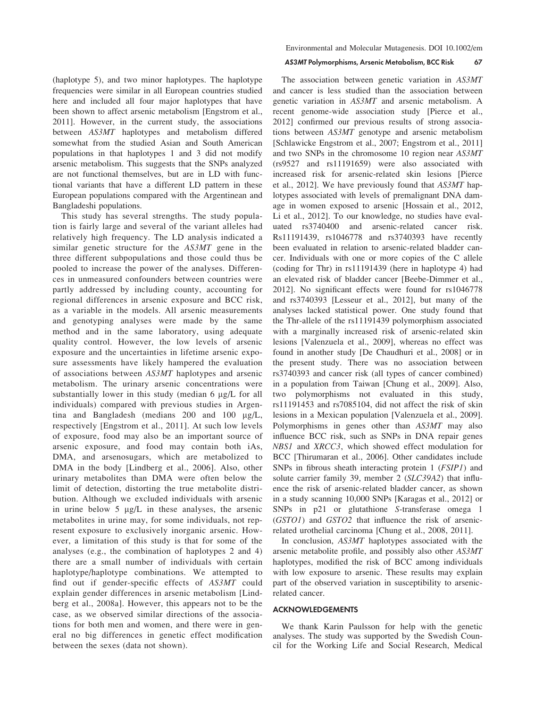(haplotype 5), and two minor haplotypes. The haplotype frequencies were similar in all European countries studied here and included all four major haplotypes that have been shown to affect arsenic metabolism [Engstrom et al., 2011]. However, in the current study, the associations between AS3MT haplotypes and metabolism differed somewhat from the studied Asian and South American populations in that haplotypes 1 and 3 did not modify arsenic metabolism. This suggests that the SNPs analyzed are not functional themselves, but are in LD with functional variants that have a different LD pattern in these European populations compared with the Argentinean and Bangladeshi populations.

This study has several strengths. The study population is fairly large and several of the variant alleles had relatively high frequency. The LD analysis indicated a similar genetic structure for the AS3MT gene in the three different subpopulations and those could thus be pooled to increase the power of the analyses. Differences in unmeasured confounders between countries were partly addressed by including county, accounting for regional differences in arsenic exposure and BCC risk, as a variable in the models. All arsenic measurements and genotyping analyses were made by the same method and in the same laboratory, using adequate quality control. However, the low levels of arsenic exposure and the uncertainties in lifetime arsenic exposure assessments have likely hampered the evaluation of associations between AS3MT haplotypes and arsenic metabolism. The urinary arsenic concentrations were substantially lower in this study (median  $6 \mu g/L$  for all individuals) compared with previous studies in Argentina and Bangladesh (medians 200 and 100 mg/L, respectively [Engstrom et al., 2011]. At such low levels of exposure, food may also be an important source of arsenic exposure, and food may contain both iAs, DMA, and arsenosugars, which are metabolized to DMA in the body [Lindberg et al., 2006]. Also, other urinary metabolites than DMA were often below the limit of detection, distorting the true metabolite distribution. Although we excluded individuals with arsenic in urine below  $5 \mu g/L$  in these analyses, the arsenic metabolites in urine may, for some individuals, not represent exposure to exclusively inorganic arsenic. However, a limitation of this study is that for some of the analyses (e.g., the combination of haplotypes 2 and 4) there are a small number of individuals with certain haplotype/haplotype combinations. We attempted to find out if gender-specific effects of AS3MT could explain gender differences in arsenic metabolism [Lindberg et al., 2008a]. However, this appears not to be the case, as we observed similar directions of the associations for both men and women, and there were in general no big differences in genetic effect modification between the sexes (data not shown).

#### AS3MT Polymorphisms, Arsenic Metabolism, BCC Risk 67

The association between genetic variation in AS3MT and cancer is less studied than the association between genetic variation in AS3MT and arsenic metabolism. A recent genome-wide association study [Pierce et al., 2012] confirmed our previous results of strong associations between AS3MT genotype and arsenic metabolism [Schlawicke Engstrom et al., 2007; Engstrom et al., 2011] and two SNPs in the chromosome 10 region near AS3MT (rs9527 and rs11191659) were also associated with increased risk for arsenic-related skin lesions [Pierce et al., 2012]. We have previously found that AS3MT haplotypes associated with levels of premalignant DNA damage in women exposed to arsenic [Hossain et al., 2012, Li et al., 2012]. To our knowledge, no studies have evaluated rs3740400 and arsenic-related cancer risk. Rs11191439, rs1046778 and rs3740393 have recently been evaluated in relation to arsenic-related bladder cancer. Individuals with one or more copies of the C allele (coding for Thr) in rs11191439 (here in haplotype 4) had an elevated risk of bladder cancer [Beebe-Dimmer et al., 2012]. No significant effects were found for rs1046778 and rs3740393 [Lesseur et al., 2012], but many of the analyses lacked statistical power. One study found that the Thr-allele of the rs11191439 polymorphism associated with a marginally increased risk of arsenic-related skin lesions [Valenzuela et al., 2009], whereas no effect was found in another study [De Chaudhuri et al., 2008] or in the present study. There was no association between rs3740393 and cancer risk (all types of cancer combined) in a population from Taiwan [Chung et al., 2009]. Also, two polymorphisms not evaluated in this study, rs11191453 and rs7085104, did not affect the risk of skin lesions in a Mexican population [Valenzuela et al., 2009]. Polymorphisms in genes other than AS3MT may also influence BCC risk, such as SNPs in DNA repair genes NBS1 and XRCC3, which showed effect modulation for BCC [Thirumaran et al., 2006]. Other candidates include SNPs in fibrous sheath interacting protein 1 (FSIP1) and solute carrier family 39, member 2 (SLC39A2) that influence the risk of arsenic-related bladder cancer, as shown in a study scanning 10,000 SNPs [Karagas et al., 2012] or SNPs in p21 or glutathione S-transferase omega 1 (GSTO1) and GSTO2 that influence the risk of arsenicrelated urothelial carcinoma [Chung et al., 2008, 2011].

In conclusion, AS3MT haplotypes associated with the arsenic metabolite profile, and possibly also other AS3MT haplotypes, modified the risk of BCC among individuals with low exposure to arsenic. These results may explain part of the observed variation in susceptibility to arsenicrelated cancer.

### ACKNOWLEDGEMENTS

We thank Karin Paulsson for help with the genetic analyses. The study was supported by the Swedish Council for the Working Life and Social Research, Medical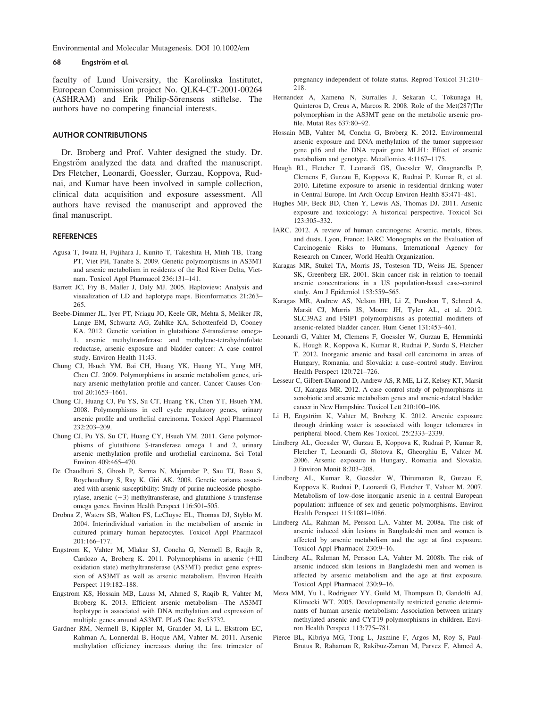Environmental and Molecular Mutagenesis. DOI 10.1002/em

#### 68 Engström et al.

faculty of Lund University, the Karolinska Institutet, European Commission project No. QLK4-CT-2001-00264 (ASHRAM) and Erik Philip-Sörensens stiftelse. The authors have no competing financial interests.

# AUTHOR CONTRIBUTIONS

Dr. Broberg and Prof. Vahter designed the study. Dr. Engström analyzed the data and drafted the manuscript. Drs Fletcher, Leonardi, Goessler, Gurzau, Koppova, Rudnai, and Kumar have been involved in sample collection, clinical data acquisition and exposure assessment. All authors have revised the manuscript and approved the final manuscript.

# **REFERENCES**

- Agusa T, Iwata H, Fujihara J, Kunito T, Takeshita H, Minh TB, Trang PT, Viet PH, Tanabe S. 2009. Genetic polymorphisms in AS3MT and arsenic metabolism in residents of the Red River Delta, Vietnam. Toxicol Appl Pharmacol 236:131–141.
- Barrett JC, Fry B, Maller J, Daly MJ. 2005. Haploview: Analysis and visualization of LD and haplotype maps. Bioinformatics 21:263– 265.
- Beebe-Dimmer JL, Iyer PT, Nriagu JO, Keele GR, Mehta S, Meliker JR, Lange EM, Schwartz AG, Zuhlke KA, Schottenfeld D, Cooney KA. 2012. Genetic variation in glutathione S-transferase omega-1, arsenic methyltransferase and methylene-tetrahydrofolate reductase, arsenic exposure and bladder cancer: A case–control study. Environ Health 11:43.
- Chung CJ, Hsueh YM, Bai CH, Huang YK, Huang YL, Yang MH, Chen CJ. 2009. Polymorphisms in arsenic metabolism genes, urinary arsenic methylation profile and cancer. Cancer Causes Control 20:1653–1661.
- Chung CJ, Huang CJ, Pu YS, Su CT, Huang YK, Chen YT, Hsueh YM. 2008. Polymorphisms in cell cycle regulatory genes, urinary arsenic profile and urothelial carcinoma. Toxicol Appl Pharmacol 232:203–209.
- Chung CJ, Pu YS, Su CT, Huang CY, Hsueh YM. 2011. Gene polymorphisms of glutathione S-transferase omega 1 and 2, urinary arsenic methylation profile and urothelial carcinoma. Sci Total Environ 409:465–470.
- De Chaudhuri S, Ghosh P, Sarma N, Majumdar P, Sau TJ, Basu S, Roychoudhury S, Ray K, Giri AK. 2008. Genetic variants associated with arsenic susceptibility: Study of purine nucleoside phosphorylase, arsenic  $(+3)$  methyltransferase, and glutathione S-transferase omega genes. Environ Health Perspect 116:501–505.
- Drobna Z, Waters SB, Walton FS, LeCluyse EL, Thomas DJ, Styblo M. 2004. Interindividual variation in the metabolism of arsenic in cultured primary human hepatocytes. Toxicol Appl Pharmacol 201:166–177.
- Engstrom K, Vahter M, Mlakar SJ, Concha G, Nermell B, Raqib R, Cardozo A, Broberg K. 2011. Polymorphisms in arsenic  $(+III)$ oxidation state) methyltransferase (AS3MT) predict gene expression of AS3MT as well as arsenic metabolism. Environ Health Perspect 119:182–188.
- Engstrom KS, Hossain MB, Lauss M, Ahmed S, Raqib R, Vahter M, Broberg K. 2013. Efficient arsenic metabolism—The AS3MT haplotype is associated with DNA methylation and expression of multiple genes around AS3MT. PLoS One 8:e53732.
- Gardner RM, Nermell B, Kippler M, Grander M, Li L, Ekstrom EC, Rahman A, Lonnerdal B, Hoque AM, Vahter M. 2011. Arsenic methylation efficiency increases during the first trimester of

pregnancy independent of folate status. Reprod Toxicol 31:210– 218.

- Hernandez A, Xamena N, Surralles J, Sekaran C, Tokunaga H, Quinteros D, Creus A, Marcos R. 2008. Role of the Met(287)Thr polymorphism in the AS3MT gene on the metabolic arsenic profile. Mutat Res 637:80–92.
- Hossain MB, Vahter M, Concha G, Broberg K. 2012. Environmental arsenic exposure and DNA methylation of the tumor suppressor gene p16 and the DNA repair gene MLH1: Effect of arsenic metabolism and genotype. Metallomics 4:1167–1175.
- Hough RL, Fletcher T, Leonardi GS, Goessler W, Gnagnarella P, Clemens F, Gurzau E, Koppova K, Rudnai P, Kumar R, et al. 2010. Lifetime exposure to arsenic in residential drinking water in Central Europe. Int Arch Occup Environ Health 83:471–481.
- Hughes MF, Beck BD, Chen Y, Lewis AS, Thomas DJ. 2011. Arsenic exposure and toxicology: A historical perspective. Toxicol Sci 123:305–332.
- IARC. 2012. A review of human carcinogens: Arsenic, metals, fibres, and dusts. Lyon, France: IARC Monographs on the Evaluation of Carcinogenic Risks to Humans, International Agency for Research on Cancer, World Health Organization.
- Karagas MR, Stukel TA, Morris JS, Tosteson TD, Weiss JE, Spencer SK, Greenberg ER. 2001. Skin cancer risk in relation to toenail arsenic concentrations in a US population-based case–control study. Am J Epidemiol 153:559–565.
- Karagas MR, Andrew AS, Nelson HH, Li Z, Punshon T, Schned A, Marsit CJ, Morris JS, Moore JH, Tyler AL, et al. 2012. SLC39A2 and FSIP1 polymorphisms as potential modifiers of arsenic-related bladder cancer. Hum Genet 131:453–461.
- Leonardi G, Vahter M, Clemens F, Goessler W, Gurzau E, Hemminki K, Hough R, Koppova K, Kumar R, Rudnai P, Surdu S, Fletcher T. 2012. Inorganic arsenic and basal cell carcinoma in areas of Hungary, Romania, and Slovakia: a case–control study. Environ Health Perspect 120:721–726.
- Lesseur C, Gilbert-Diamond D, Andrew AS, R ME, Li Z, Kelsey KT, Marsit CJ, Karagas MR. 2012. A case–control study of polymorphisms in xenobiotic and arsenic metabolism genes and arsenic-related bladder cancer in New Hampshire. Toxicol Lett 210:100–106.
- Li H, Engström K, Vahter M, Broberg K. 2012. Arsenic exposure through drinking water is associated with longer telomeres in peripheral blood. Chem Res Toxicol. 25:2333–2339.
- Lindberg AL, Goessler W, Gurzau E, Koppova K, Rudnai P, Kumar R, Fletcher T, Leonardi G, Slotova K, Gheorghiu E, Vahter M. 2006. Arsenic exposure in Hungary, Romania and Slovakia. J Environ Monit 8:203–208.
- Lindberg AL, Kumar R, Goessler W, Thirumaran R, Gurzau E, Koppova K, Rudnai P, Leonardi G, Fletcher T, Vahter M. 2007. Metabolism of low-dose inorganic arsenic in a central European population: influence of sex and genetic polymorphisms. Environ Health Perspect 115:1081–1086.
- Lindberg AL, Rahman M, Persson LA, Vahter M. 2008a. The risk of arsenic induced skin lesions in Bangladeshi men and women is affected by arsenic metabolism and the age at first exposure. Toxicol Appl Pharmacol 230:9–16.
- Lindberg AL, Rahman M, Persson LA, Vahter M. 2008b. The risk of arsenic induced skin lesions in Bangladeshi men and women is affected by arsenic metabolism and the age at first exposure. Toxicol Appl Pharmacol 230:9–16.
- Meza MM, Yu L, Rodriguez YY, Guild M, Thompson D, Gandolfi AJ, Klimecki WT. 2005. Developmentally restricted genetic determinants of human arsenic metabolism: Association between urinary methylated arsenic and CYT19 polymorphisms in children. Environ Health Perspect 113:775–781.
- Pierce BL, Kibriya MG, Tong L, Jasmine F, Argos M, Roy S, Paul-Brutus R, Rahaman R, Rakibuz-Zaman M, Parvez F, Ahmed A,